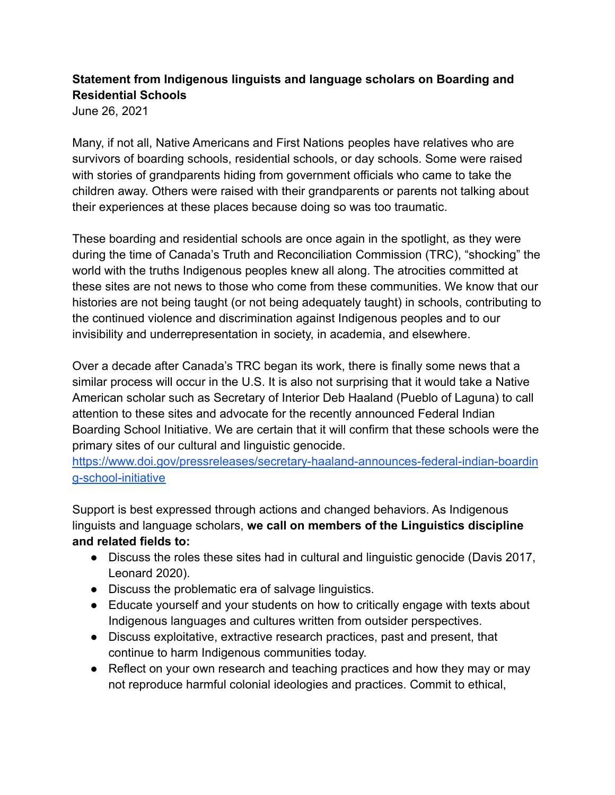# **Statement from Indigenous linguists and language scholars on Boarding and Residential Schools**

June 26, 2021

Many, if not all, Native Americans and First Nations peoples have relatives who are survivors of boarding schools, residential schools, or day schools. Some were raised with stories of grandparents hiding from government officials who came to take the children away. Others were raised with their grandparents or parents not talking about their experiences at these places because doing so was too traumatic.

These boarding and residential schools are once again in the spotlight, as they were during the time of Canada's Truth and Reconciliation Commission (TRC), "shocking" the world with the truths Indigenous peoples knew all along. The atrocities committed at these sites are not news to those who come from these communities. We know that our histories are not being taught (or not being adequately taught) in schools, contributing to the continued violence and discrimination against Indigenous peoples and to our invisibility and underrepresentation in society, in academia, and elsewhere.

Over a decade after Canada's TRC began its work, there is finally some news that a similar process will occur in the U.S. It is also not surprising that it would take a Native American scholar such as Secretary of Interior Deb Haaland (Pueblo of Laguna) to call attention to these sites and advocate for the recently announced Federal Indian Boarding School Initiative. We are certain that it will confirm that these schools were the primary sites of our cultural and linguistic genocide.

[https://www.doi.gov/pressreleases/secretary-haaland-announces-federal-indian-boardin](https://www.doi.gov/pressreleases/secretary-haaland-announces-federal-indian-boarding-school-initiative) [g-school-initiative](https://www.doi.gov/pressreleases/secretary-haaland-announces-federal-indian-boarding-school-initiative)

Support is best expressed through actions and changed behaviors. As Indigenous linguists and language scholars, **we call on members of the Linguistics discipline and related fields to:**

- Discuss the roles these sites had in cultural and linguistic genocide (Davis 2017, Leonard 2020).
- Discuss the problematic era of salvage linguistics.
- Educate yourself and your students on how to critically engage with texts about Indigenous languages and cultures written from outsider perspectives.
- Discuss exploitative, extractive research practices, past and present, that continue to harm Indigenous communities today.
- Reflect on your own research and teaching practices and how they may or may not reproduce harmful colonial ideologies and practices. Commit to ethical,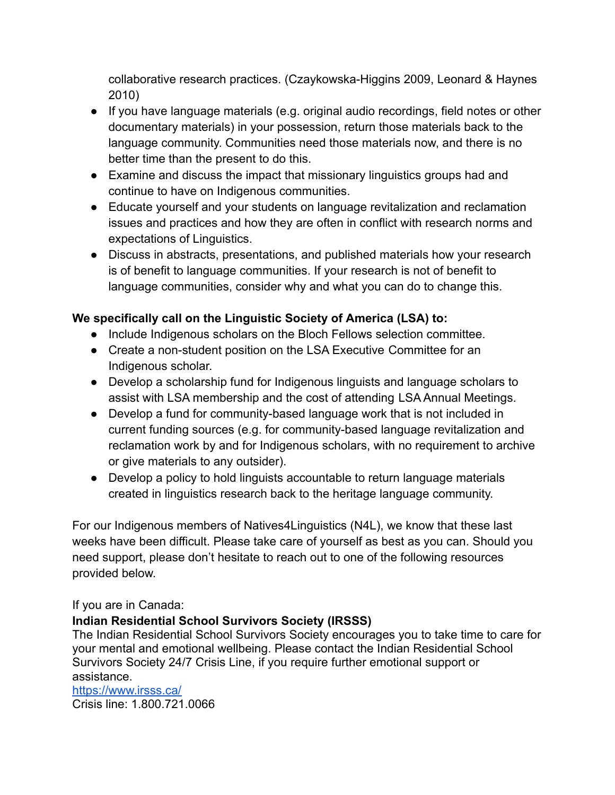collaborative research practices. (Czaykowska-Higgins 2009, Leonard & Haynes 2010)

- If you have language materials (e.g. original audio recordings, field notes or other documentary materials) in your possession, return those materials back to the language community. Communities need those materials now, and there is no better time than the present to do this.
- Examine and discuss the impact that missionary linguistics groups had and continue to have on Indigenous communities.
- Educate yourself and your students on language revitalization and reclamation issues and practices and how they are often in conflict with research norms and expectations of Linguistics.
- Discuss in abstracts, presentations, and published materials how your research is of benefit to language communities. If your research is not of benefit to language communities, consider why and what you can do to change this.

## **We specifically call on the Linguistic Society of America (LSA) to:**

- Include Indigenous scholars on the Bloch Fellows selection committee.
- Create a non-student position on the LSA Executive Committee for an Indigenous scholar.
- Develop a scholarship fund for Indigenous linguists and language scholars to assist with LSA membership and the cost of attending LSA Annual Meetings.
- Develop a fund for community-based language work that is not included in current funding sources (e.g. for community-based language revitalization and reclamation work by and for Indigenous scholars, with no requirement to archive or give materials to any outsider).
- Develop a policy to hold linguists accountable to return language materials created in linguistics research back to the heritage language community.

For our Indigenous members of Natives4Linguistics (N4L), we know that these last weeks have been difficult. Please take care of yourself as best as you can. Should you need support, please don't hesitate to reach out to one of the following resources provided below.

### If you are in Canada:

## **Indian Residential School Survivors Society (IRSSS)**

The Indian Residential School Survivors Society encourages you to take time to care for your mental and emotional wellbeing. Please contact the Indian Residential School Survivors Society 24/7 Crisis Line, if you require further emotional support or assistance. <https://www.irsss.ca/>

Crisis line: 1.800.721.0066